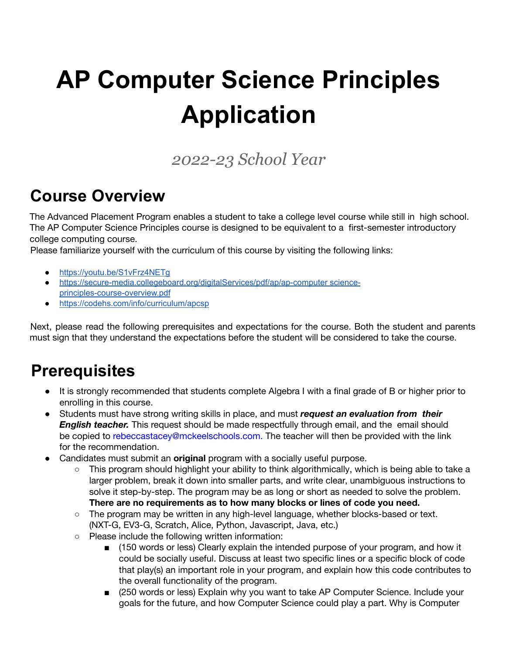# **AP Computer Science Principles Application**

*2022-23 School Year*

## **Course Overview**

The Advanced Placement Program enables a student to take a college level course while still in high school. The AP Computer Science Principles course is designed to be equivalent to a first-semester introductory college computing course.

Please familiarize yourself with the curriculum of this course by visiting the following links:

- https://youtu.be/S1vFrz4NETq
- <https://secure-media.collegeboard.org/digitalServices/pdf/ap/ap-computer> science[principles-course-overview.pdf](https://secure-media.collegeboard.org/digitalServices/pdf/ap/ap-computer)
- <https://codehs.com/info/curriculum/apcsp>

Next, please read the following prerequisites and expectations for the course. Both the student and parents must sign that they understand the expectations before the student will be considered to take the course.

#### **Prerequisites**

- It is strongly recommended that students complete Algebra I with a final grade of B or higher prior to enrolling in this course.
- Students must have strong writing skills in place, and must *request an evaluation from their English teacher.* This request should be made respectfully through email, and the email should be copied to rebeccastacey@mckeelschools.com. The teacher will then be provided with the link for the recommendation.
- Candidates must submit an **original** program with a socially useful purpose.
	- This program should highlight your ability to think algorithmically, which is being able to take a larger problem, break it down into smaller parts, and write clear, unambiguous instructions to solve it step-by-step. The program may be as long or short as needed to solve the problem. **There are no requirements as to how many blocks or lines of code you need.**
	- The program may be written in any high-level language, whether blocks-based or text. (NXT-G, EV3-G, Scratch, Alice, Python, Javascript, Java, etc.)
	- Please include the following written information:
		- (150 words or less) Clearly explain the intended purpose of your program, and how it could be socially useful. Discuss at least two specific lines or a specific block of code that play(s) an important role in your program, and explain how this code contributes to the overall functionality of the program.
		- (250 words or less) Explain why you want to take AP Computer Science. Include your goals for the future, and how Computer Science could play a part. Why is Computer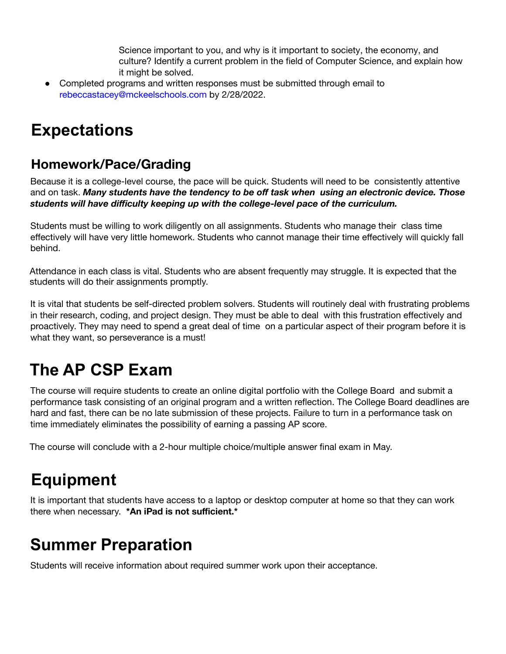Science important to you, and why is it important to society, the economy, and culture? Identify a current problem in the field of Computer Science, and explain how it might be solved.

• Completed programs and written responses must be submitted through email to rebeccastacey@mckeelschools.com by 2/28/2022.

## **Expectations**

#### **Homework/Pace/Grading**

Because it is a college-level course, the pace will be quick. Students will need to be consistently attentive and on task. *Many students have the tendency to be off task when using an electronic device. Those students will have difficulty keeping up with the college-level pace of the curriculum.*

Students must be willing to work diligently on all assignments. Students who manage their class time effectively will have very little homework. Students who cannot manage their time effectively will quickly fall behind.

Attendance in each class is vital. Students who are absent frequently may struggle. It is expected that the students will do their assignments promptly.

It is vital that students be self-directed problem solvers. Students will routinely deal with frustrating problems in their research, coding, and project design. They must be able to deal with this frustration effectively and proactively. They may need to spend a great deal of time on a particular aspect of their program before it is what they want, so perseverance is a must!

# **The AP CSP Exam**

The course will require students to create an online digital portfolio with the College Board and submit a performance task consisting of an original program and a written reflection. The College Board deadlines are hard and fast, there can be no late submission of these projects. Failure to turn in a performance task on time immediately eliminates the possibility of earning a passing AP score.

The course will conclude with a 2-hour multiple choice/multiple answer final exam in May.

# **Equipment**

It is important that students have access to a laptop or desktop computer at home so that they can work there when necessary. **\*An iPad is not sufficient.\***

# **Summer Preparation**

Students will receive information about required summer work upon their acceptance.